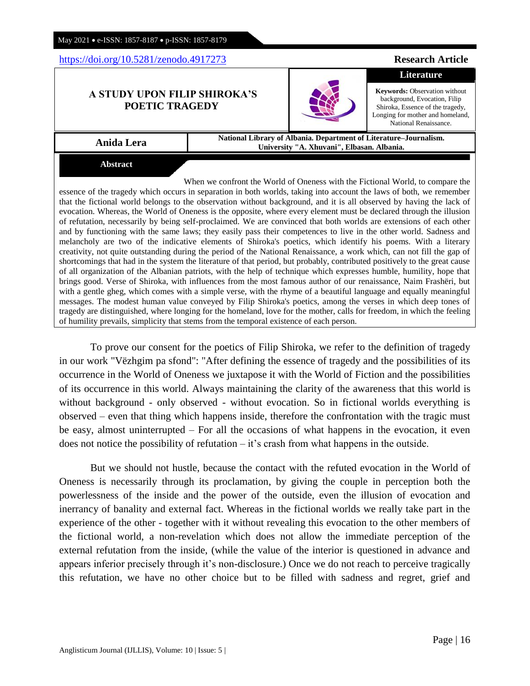Anglisticum Journal (IJLLIS)*,* Volume: 10 | Issue: 5 |

# May 2021 • e-ISSN: 1857-8187 • p-ISSN: 1857-8179

# <https://doi.org/10.5281/zenodo.4917273> **Research Article**

## **A STUDY UPON FILIP SHIROKA'S POETIC TRAGEDY**

**Abstract**

**Anida Lera National Library of Albania. Department of Literature–Journalism. University "A. Xhuvani", Elbasan. Albania.**

When we confront the World of Oneness with the Fictional World, to compare the essence of the tragedy which occurs in separation in both worlds, taking into account the laws of both, we remember that the fictional world belongs to the observation without background, and it is all observed by having the lack of evocation. Whereas, the World of Oneness is the opposite, where every element must be declared through the illusion of refutation, necessarily by being self-proclaimed. We are convinced that both worlds are extensions of each other and by functioning with the same laws; they easily pass their competences to live in the other world. Sadness and melancholy are two of the indicative elements of Shiroka's poetics, which identify his poems. With a literary creativity, not quite outstanding during the period of the National Renaissance, a work which, can not fill the gap of shortcomings that had in the system the literature of that period, but probably, contributed positively to the great cause of all organization of the Albanian patriots, with the help of technique which expresses humble, humility, hope that brings good. Verse of Shiroka, with influences from the most famous author of our renaissance, Naim Frashëri, but with a gentle gheg, which comes with a simple verse, with the rhyme of a beautiful language and equally meaningful messages. The modest human value conveyed by Filip Shiroka's poetics, among the verses in which deep tones of tragedy are distinguished, where longing for the homeland, love for the mother, calls for freedom, in which the feeling of humility prevails, simplicity that stems from the temporal existence of each person.

To prove our consent for the poetics of Filip Shiroka, we refer to the definition of tragedy in our work "Vëzhgim pa sfond": "After defining the essence of tragedy and the possibilities of its occurrence in the World of Oneness we juxtapose it with the World of Fiction and the possibilities of its occurrence in this world. Always maintaining the clarity of the awareness that this world is without background - only observed - without evocation. So in fictional worlds everything is observed – even that thing which happens inside, therefore the confrontation with the tragic must be easy, almost uninterrupted – For all the occasions of what happens in the evocation, it even does not notice the possibility of refutation – it's crash from what happens in the outside.

But we should not hustle, because the contact with the refuted evocation in the World of Oneness is necessarily through its proclamation, by giving the couple in perception both the powerlessness of the inside and the power of the outside, even the illusion of evocation and inerrancy of banality and external fact. Whereas in the fictional worlds we really take part in the experience of the other - together with it without revealing this evocation to the other members of the fictional world, a non-revelation which does not allow the immediate perception of the external refutation from the inside, (while the value of the interior is questioned in advance and appears inferior precisely through it's non-disclosure.) Once we do not reach to perceive tragically this refutation, we have no other choice but to be filled with sadness and regret, grief and



**Literature Keywords:** Observation without

background, Evocation, Filip Shiroka, Essence of the tragedy, Longing for mother and homeland, National Renaissance.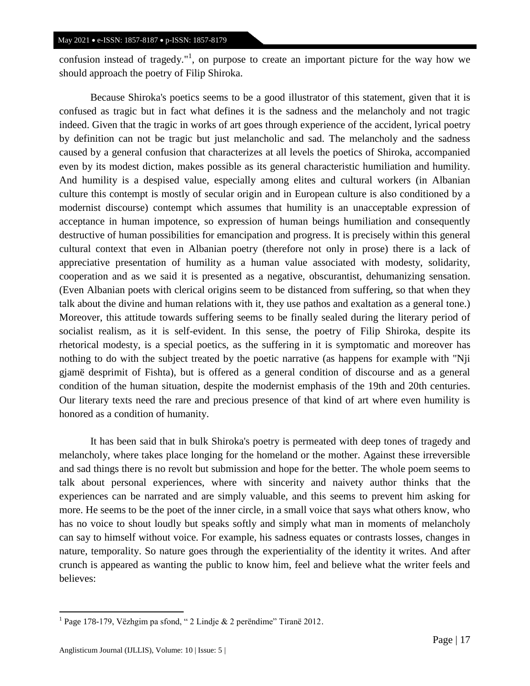confusion instead of tragedy."<sup>1</sup>, on purpose to create an important picture for the way how we should approach the poetry of Filip Shiroka.

Because Shiroka's poetics seems to be a good illustrator of this statement, given that it is confused as tragic but in fact what defines it is the sadness and the melancholy and not tragic indeed. Given that the tragic in works of art goes through experience of the accident, lyrical poetry by definition can not be tragic but just melancholic and sad. The melancholy and the sadness caused by a general confusion that characterizes at all levels the poetics of Shiroka, accompanied even by its modest diction, makes possible as its general characteristic humiliation and humility. And humility is a despised value, especially among elites and cultural workers (in Albanian culture this contempt is mostly of secular origin and in European culture is also conditioned by a modernist discourse) contempt which assumes that humility is an unacceptable expression of acceptance in human impotence, so expression of human beings humiliation and consequently destructive of human possibilities for emancipation and progress. It is precisely within this general cultural context that even in Albanian poetry (therefore not only in prose) there is a lack of appreciative presentation of humility as a human value associated with modesty, solidarity, cooperation and as we said it is presented as a negative, obscurantist, dehumanizing sensation. (Even Albanian poets with clerical origins seem to be distanced from suffering, so that when they talk about the divine and human relations with it, they use pathos and exaltation as a general tone.) Moreover, this attitude towards suffering seems to be finally sealed during the literary period of socialist realism, as it is self-evident. In this sense, the poetry of Filip Shiroka, despite its rhetorical modesty, is a special poetics, as the suffering in it is symptomatic and moreover has nothing to do with the subject treated by the poetic narrative (as happens for example with "Nji gjamë desprimit of Fishta), but is offered as a general condition of discourse and as a general condition of the human situation, despite the modernist emphasis of the 19th and 20th centuries. Our literary texts need the rare and precious presence of that kind of art where even humility is honored as a condition of humanity.

It has been said that in bulk Shiroka's poetry is permeated with deep tones of tragedy and melancholy, where takes place longing for the homeland or the mother. Against these irreversible and sad things there is no revolt but submission and hope for the better. The whole poem seems to talk about personal experiences, where with sincerity and naivety author thinks that the experiences can be narrated and are simply valuable, and this seems to prevent him asking for more. He seems to be the poet of the inner circle, in a small voice that says what others know, who has no voice to shout loudly but speaks softly and simply what man in moments of melancholy can say to himself without voice. For example, his sadness equates or contrasts losses, changes in nature, temporality. So nature goes through the experientiality of the identity it writes. And after crunch is appeared as wanting the public to know him, feel and believe what the writer feels and believes:

 $\overline{a}$ 

<sup>&</sup>lt;sup>1</sup> Page 178-179, Vëzhgim pa sfond, "2 Lindje & 2 perëndime" Tiranë 2012.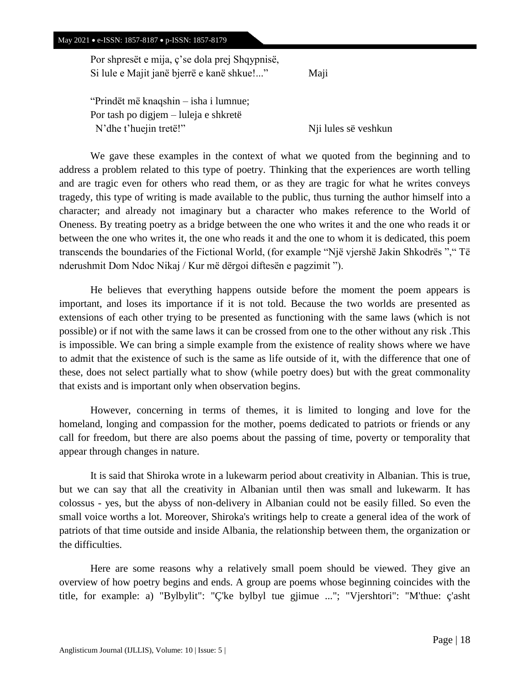Por shpresët e mija, ç'se dola prej Shqypnisë, Si lule e Majit janë bjerrë e kanë shkue!..." Maji

"Prindët më knaqshin – isha i lumnue; Por tash po digjem – luleja e shkretë N'dhe t'huejin tretë!" Nji lules së veshkun

We gave these examples in the context of what we quoted from the beginning and to address a problem related to this type of poetry. Thinking that the experiences are worth telling and are tragic even for others who read them, or as they are tragic for what he writes conveys tragedy, this type of writing is made available to the public, thus turning the author himself into a character; and already not imaginary but a character who makes reference to the World of Oneness. By treating poetry as a bridge between the one who writes it and the one who reads it or between the one who writes it, the one who reads it and the one to whom it is dedicated, this poem transcends the boundaries of the Fictional World, (for example "Një vjershë Jakin Shkodrës "," Të nderushmit Dom Ndoc Nikaj / Kur më dërgoi diftesën e pagzimit ").

He believes that everything happens outside before the moment the poem appears is important, and loses its importance if it is not told. Because the two worlds are presented as extensions of each other trying to be presented as functioning with the same laws (which is not possible) or if not with the same laws it can be crossed from one to the other without any risk .This is impossible. We can bring a simple example from the existence of reality shows where we have to admit that the existence of such is the same as life outside of it, with the difference that one of these, does not select partially what to show (while poetry does) but with the great commonality that exists and is important only when observation begins.

However, concerning in terms of themes, it is limited to longing and love for the homeland, longing and compassion for the mother, poems dedicated to patriots or friends or any call for freedom, but there are also poems about the passing of time, poverty or temporality that appear through changes in nature.

It is said that Shiroka wrote in a lukewarm period about creativity in Albanian. This is true, but we can say that all the creativity in Albanian until then was small and lukewarm. It has colossus - yes, but the abyss of non-delivery in Albanian could not be easily filled. So even the small voice worths a lot. Moreover, Shiroka's writings help to create a general idea of the work of patriots of that time outside and inside Albania, the relationship between them, the organization or the difficulties.

Here are some reasons why a relatively small poem should be viewed. They give an overview of how poetry begins and ends. A group are poems whose beginning coincides with the title, for example: a) "Bylbylit": "Ç'ke bylbyl tue gjimue ..."; "Vjershtori": "M'thue: ç'asht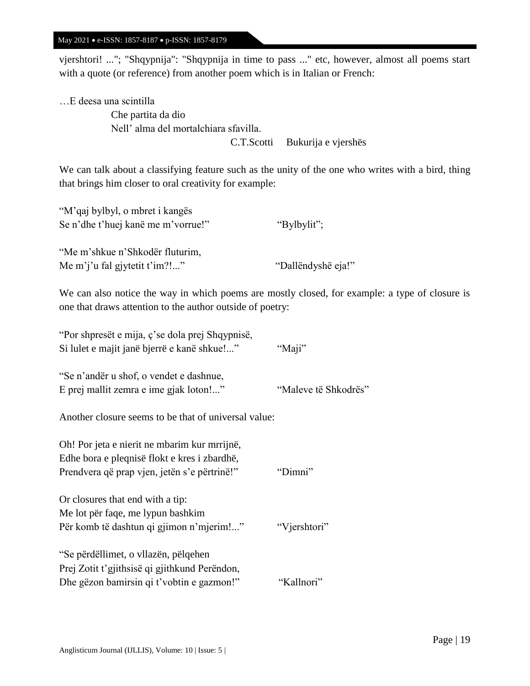vjershtori! ..."; "Shqypnija": "Shqypnija in time to pass ..." etc, however, almost all poems start with a quote (or reference) from another poem which is in Italian or French:

…E deesa una scintilla Che partita da dio Nell' alma del mortalchiara sfavilla. C.T.Scotti Bukurija e vjershës

We can talk about a classifying feature such as the unity of the one who writes with a bird, thing that brings him closer to oral creativity for example:

| "M'qaj bylbyl, o mbret i kangës    |             |
|------------------------------------|-------------|
| Se n'dhe t'huej kanë me m'vorrue!" | "Bylbylit"; |
|                                    |             |

"Me m'shkue n'Shkodër fluturim, Me m'j'u fal gjytetit t'im?!..." "Dallëndyshë eja!"

We can also notice the way in which poems are mostly closed, for example: a type of closure is one that draws attention to the author outside of poetry:

| "Por shpresët e mija, ç'se dola prej Shqypnisë,      |                      |
|------------------------------------------------------|----------------------|
| Si lulet e majit janë bjerrë e kanë shkue!"          | "Maji"               |
|                                                      |                      |
| "Se n'andër u shof, o vendet e dashnue,              |                      |
| E prej mallit zemra e ime gjak loton!"               | "Maleve të Shkodrës" |
|                                                      |                      |
| Another closure seems to be that of universal value: |                      |
|                                                      |                      |
| Oh! Por jeta e nierit ne mbarim kur mrrijnë,         |                      |
| Edhe bora e pleqnisë flokt e kres i zbardhë,         |                      |
| Prendvera që prap vjen, jetën s'e përtrinë!"         | "Dimni"              |
|                                                      |                      |
| Or closures that end with a tip:                     |                      |
| Me lot për faqe, me lypun bashkim                    |                      |
| Për komb të dashtun qi gjimon n'mjerim!"             | "Vjershtori"         |
|                                                      |                      |
| "Se përdëllimet, o vllazën, pëlqehen                 |                      |
| Prej Zotit t'gjithsisë qi gjithkund Perëndon,        |                      |
| Dhe gëzon bamirsin qi t'vobtin e gazmon!"            | "Kallnori"           |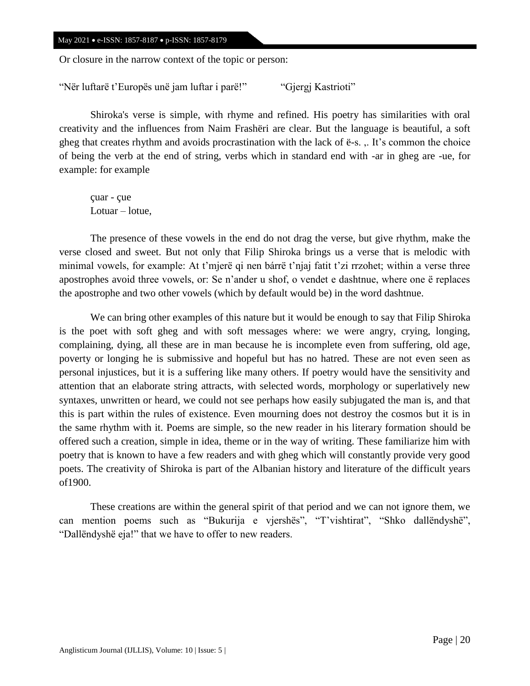Or closure in the narrow context of the topic or person:

"Nër luftarë t'Europës unë jam luftar i parë!" "Gjergj Kastrioti"

Shiroka's verse is simple, with rhyme and refined. His poetry has similarities with oral creativity and the influences from Naim Frashëri are clear. But the language is beautiful, a soft gheg that creates rhythm and avoids procrastination with the lack of ë-s. ,. It's common the choice of being the verb at the end of string, verbs which in standard end with -ar in gheg are -ue, for example: for example

çuar - çue Lotuar – lotue,

The presence of these vowels in the end do not drag the verse, but give rhythm, make the verse closed and sweet. But not only that Filip Shiroka brings us a verse that is melodic with minimal vowels, for example: At t'mjerë qi nen bárrë t'njaj fatit t'zi rrzohet; within a verse three apostrophes avoid three vowels, or: Se n'ander u shof, o vendet e dashtnue, where one ë replaces the apostrophe and two other vowels (which by default would be) in the word dashtnue.

We can bring other examples of this nature but it would be enough to say that Filip Shiroka is the poet with soft gheg and with soft messages where: we were angry, crying, longing, complaining, dying, all these are in man because he is incomplete even from suffering, old age, poverty or longing he is submissive and hopeful but has no hatred. These are not even seen as personal injustices, but it is a suffering like many others. If poetry would have the sensitivity and attention that an elaborate string attracts, with selected words, morphology or superlatively new syntaxes, unwritten or heard, we could not see perhaps how easily subjugated the man is, and that this is part within the rules of existence. Even mourning does not destroy the cosmos but it is in the same rhythm with it. Poems are simple, so the new reader in his literary formation should be offered such a creation, simple in idea, theme or in the way of writing. These familiarize him with poetry that is known to have a few readers and with gheg which will constantly provide very good poets. The creativity of Shiroka is part of the Albanian history and literature of the difficult years of1900.

These creations are within the general spirit of that period and we can not ignore them, we can mention poems such as "Bukurija e vjershës", "T'vishtirat", "Shko dallëndyshë", "Dallëndyshë eja!" that we have to offer to new readers.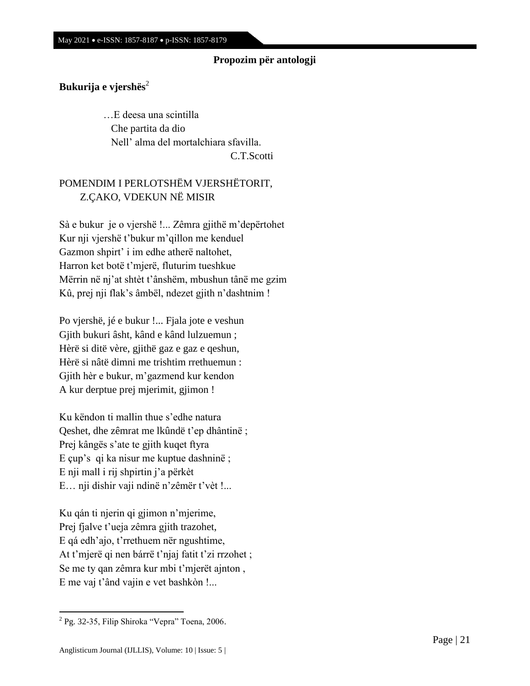## **Propozim për antologji**

## **Bukurija e vjershës**<sup>2</sup>

 …E deesa una scintilla Che partita da dio Nell' alma del mortalchiara sfavilla. C.T.Scotti

POMENDIM I PERLOTSHËM VJERSHËTORIT, Z.ÇAKO, VDEKUN NË MISIR

Sà e bukur je o vjershë !... Zêmra gjithë m'depërtohet Kur nji vjershë t'bukur m'qillon me kenduel Gazmon shpirt' i im edhe atherë naltohet, Harron ket botë t'mjerë, fluturim tueshkue Mërrin në nj'at shtèt t'ânshëm, mbushun tânë me gzim Kû, prej nji flak's âmbël, ndezet gjith n'dashtnim !

Po vjershë, jé e bukur !... Fjala jote e veshun Gjith bukuri âsht, kând e kând lulzuemun ; Hèrë si ditë vère, gjithë gaz e gaz e qeshun, Hèrë si nâtë dimni me trishtim rrethuemun : Gjith hèr e bukur, m'gazmend kur kendon A kur derptue prej mjerimit, gjimon !

Ku këndon ti mallin thue s'edhe natura Qeshet, dhe zêmrat me lkûndë t'ep dhântinë ; Prej kângës s'ate te gjith kuqet ftyra E çup's qi ka nisur me kuptue dashninë ; E nji mall i rij shpirtin j'a përkèt E… nji dishir vaji ndinë n'zêmër t'vèt !...

Ku qán ti njerin qi gjimon n'mjerime, Prej fjalve t'ueja zêmra gjith trazohet, E qá edh'ajo, t'rrethuem nër ngushtime, At t'mjerë qi nen bárrë t'njaj fatit t'zi rrzohet ; Se me ty qan zêmra kur mbi t'mjerët ajnton , E me vaj t'ând vajin e vet bashkòn !...

 $\overline{a}$ 

<sup>&</sup>lt;sup>2</sup> Pg. 32-35, Filip Shiroka "Vepra" Toena, 2006.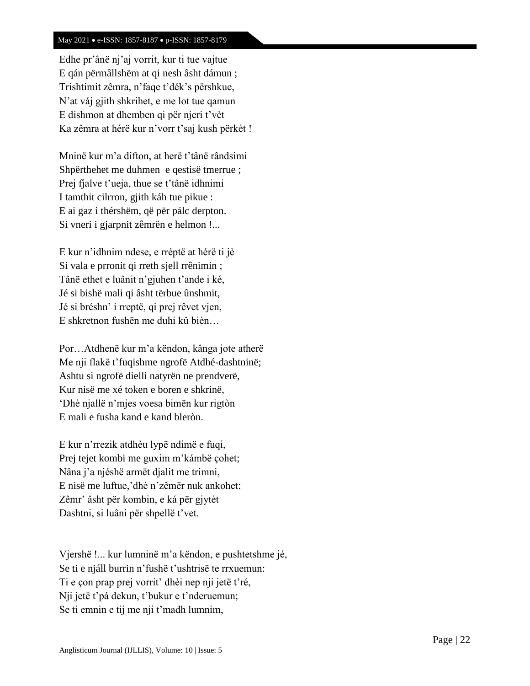Edhe pr'ânë nj'aj vorrit, kur ti tue vajtue E qán përmâllshëm at qi nesh âsht dámun ; Trishtimit zêmra, n'faqe t'dék's përshkue, N'at váj gjith shkrihet, e me lot tue qamun E dishmon at dhemben qi për njeri t'vèt Ka zêmra at hérë kur n'vorr t'saj kush përkèt !

Mninë kur m'a difton, at herë t'tânë rândsimi Shpërthehet me duhmen e qestisë tmerrue ; Prej fjalve t'ueja, thue se t'tânë idhnimi I tamthit cilrron, gjith káh tue pikue : E ai gaz i thérshëm, që për pálc derpton. Si vneri i gjarpnit zêmrën e helmon !...

E kur n'idhnim ndese, e rréptë at hérë ti jè Si vala e prronit qi rreth sjell rrênimin ; Tânë ethet e luânit n'gjuhen t'ande i ké, Jé si bishë mali qi âsht tërbue ûnshmit, Jé si bréshn' i rreptë, qi prej rêvet vjen, E shkretnon fushën me duhi kû bièn…

Por…Atdhenë kur m'a këndon, kânga jote atherë Me nji flakë t'fuqishme ngrofë Atdhé-dashtninë; Ashtu si ngrofë dielli natyrën ne prendverë, Kur nisë me xé token e boren e shkrinë, 'Dhè njallë n'mjes voesa bimën kur rigtòn E mali e fusha kand e kand bleròn.

E kur n'rrezik atdhèu lypë ndimë e fuqi, Prej tejet kombi me guxim m'kámbë çohet; Nâna j'a njéshë armët djalit me trimni, E nisë me luftue,'dhè n'zêmër nuk ankohet: Zêmr' âsht për kombin, e ká për gjytèt Dashtni, si luâni për shpellë t'vet.

Vjershë !... kur lumninë m'a këndon, e pushtetshme jé, Se ti e njáll burrin n'fushë t'ushtrisë te rrxuemun: Ti e çon prap prej vorrit' dhèi nep nji jetë t'ré, Nji jetë t'pá dekun, t'bukur e t'nderuemun; Se ti emnin e tij me nji t'madh lumnim,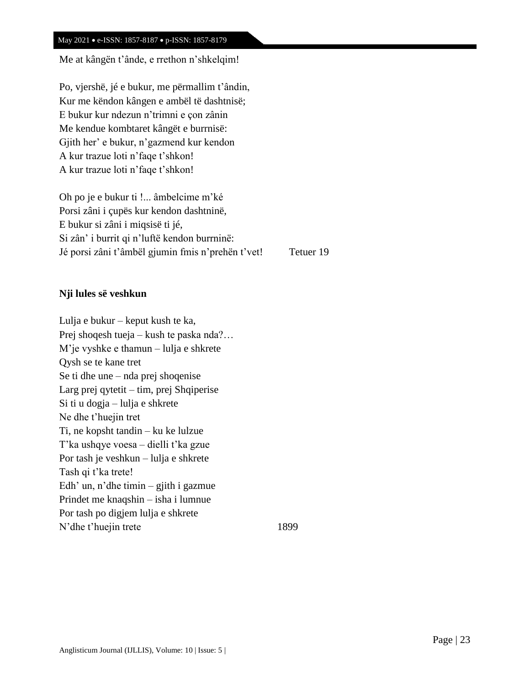Me at kângën t'ânde, e rrethon n'shkelqim!

Po, vjershë, jé e bukur, me përmallim t'ândin, Kur me këndon kângen e ambël të dashtnisë; E bukur kur ndezun n'trimni e çon zânin Me kendue kombtaret kângët e burrnisë: Gjith her' e bukur, n'gazmend kur kendon A kur trazue loti n'faqe t'shkon! A kur trazue loti n'faqe t'shkon!

Oh po je e bukur ti !... âmbelcime m'ké Porsi zâni i çupës kur kendon dashtninë, E bukur si zâni i miqsisë ti jé, Si zân' i burrit qi n'luftë kendon burrninë: Jé porsi zâni t'âmbël gjumin fmis n'prehën t'vet! Tetuer 19

## **Nji lules së veshkun**

Lulja e bukur – keput kush te ka, Prej shoqesh tueja – kush te paska nda?… M'je vyshke e thamun – lulja e shkrete Qysh se te kane tret Se ti dhe une – nda prej shoqenise Larg prej qytetit – tim, prej Shqiperise Si ti u dogja – lulja e shkrete Ne dhe t'huejin tret Ti, ne kopsht tandin – ku ke lulzue T'ka ushqye voesa – dielli t'ka gzue Por tash je veshkun – lulja e shkrete Tash qi t'ka trete! Edh' un, n'dhe timin – gjith i gazmue Prindet me knaqshin – isha i lumnue Por tash po digjem lulja e shkrete N'dhe t'huejin trete 1899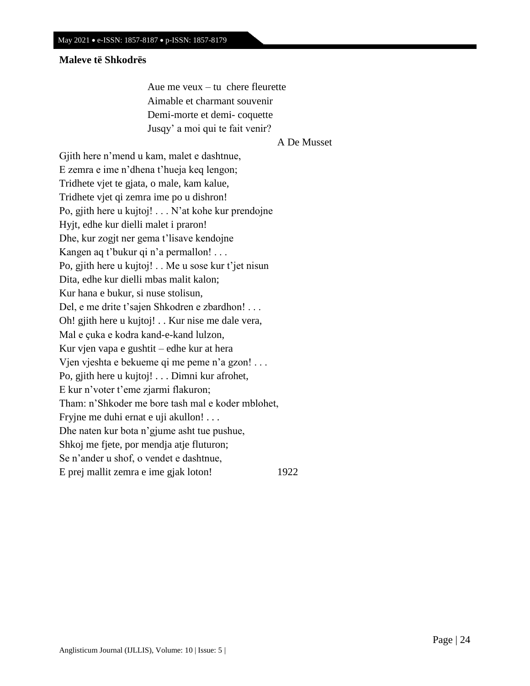## **Maleve të Shkodrës**

 Aue me veux – tu chere fleurette Aimable et charmant souvenir Demi-morte et demi- coquette Jusqy' a moi qui te fait venir?

A De Musset

Gjith here n'mend u kam, malet e dashtnue, E zemra e ime n'dhena t'hueja keq lengon; Tridhete vjet te gjata, o male, kam kalue, Tridhete vjet qi zemra ime po u dishron! Po, gjith here u kujtoj! . . . N'at kohe kur prendojne Hyjt, edhe kur dielli malet i praron! Dhe, kur zogjt ner gema t'lisave kendojne Kangen aq t'bukur qi n'a permallon! . . . Po, gjith here u kujtoj! . . Me u sose kur t'jet nisun Dita, edhe kur dielli mbas malit kalon; Kur hana e bukur, si nuse stolisun, Del, e me drite t'sajen Shkodren e zbardhon! . . . Oh! gjith here u kujtoj! . . Kur nise me dale vera, Mal e çuka e kodra kand-e-kand lulzon, Kur vjen vapa e gushtit – edhe kur at hera Vjen vjeshta e bekueme qi me peme n'a gzon! . . . Po, gjith here u kujtoj! . . . Dimni kur afrohet, E kur n'voter t'eme zjarmi flakuron; Tham: n'Shkoder me bore tash mal e koder mblohet, Fryjne me duhi ernat e uji akullon! . . . Dhe naten kur bota n'gjume asht tue pushue, Shkoj me fjete, por mendja atje fluturon; Se n'ander u shof, o vendet e dashtnue, E prej mallit zemra e ime gjak loton! 1922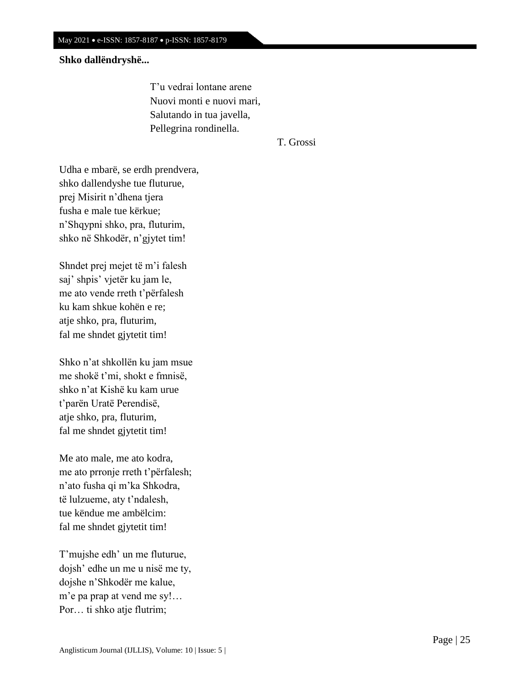## **Shko dallëndryshë...**

 T'u vedrai lontane arene Nuovi monti e nuovi mari, Salutando in tua javella, Pellegrina rondinella.

T. Grossi

Udha e mbarë, se erdh prendvera, shko dallendyshe tue fluturue, prej Misirit n'dhena tjera fusha e male tue kërkue; n'Shqypni shko, pra, fluturim, shko në Shkodër, n'gjytet tim!

Shndet prej mejet të m'i falesh saj' shpis' vjetër ku jam le, me ato vende rreth t'përfalesh ku kam shkue kohën e re; atje shko, pra, fluturim, fal me shndet gjytetit tim!

Shko n'at shkollën ku jam msue me shokë t'mi, shokt e fmnisë, shko n'at Kishë ku kam urue t'parën Uratë Perendisë, atje shko, pra, fluturim, fal me shndet gjytetit tim!

Me ato male, me ato kodra, me ato prronje rreth t'përfalesh; n'ato fusha qi m'ka Shkodra, të lulzueme, aty t'ndalesh, tue këndue me ambëlcim: fal me shndet gjytetit tim!

T'mujshe edh' un me fluturue, dojsh' edhe un me u nisë me ty, dojshe n'Shkodër me kalue, m'e pa prap at vend me sy!… Por… ti shko atje flutrim;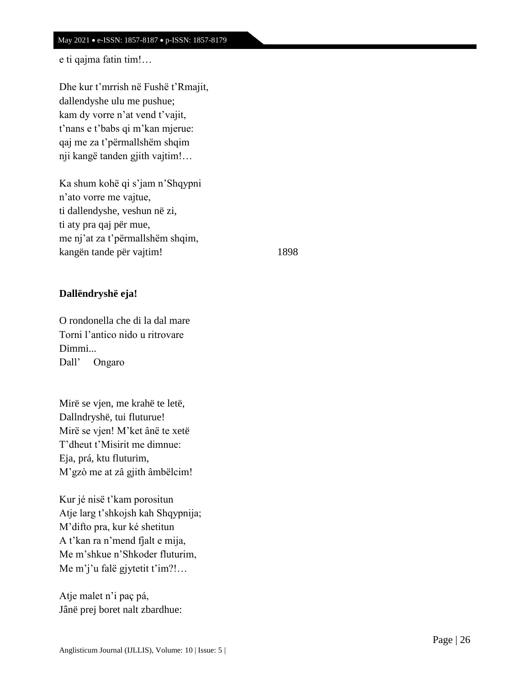## e ti qajma fatin tim!…

Dhe kur t'mrrish në Fushë t'Rmajit, dallendyshe ulu me pushue; kam dy vorre n'at vend t'vajit, t'nans e t'babs qi m'kan mjerue: qaj me za t'përmallshëm shqim nji kangë tanden gjith vajtim!…

Ka shum kohë qi s'jam n'Shqypni n'ato vorre me vajtue, ti dallendyshe, veshun në zi, ti aty pra qaj për mue, me nj'at za t'përmallshëm shqim, kangën tande për vajtim! 1898

## **Dallëndryshë eja!**

O rondonella che di la dal mare Torni l'antico nido u ritrovare Dimmi... Dall' Ongaro

Mirë se vjen, me krahë te letë, Dallndryshë, tui fluturue! Mirë se vjen! M'ket ânë te xetë T'dheut t'Misirit me dimnue: Eja, prá, ktu fluturim, M'gzò me at zâ gjith âmbëlcim!

Kur jé nisë t'kam porositun Atje larg t'shkojsh kah Shqypnija; M'difto pra, kur ké shetitun A t'kan ra n'mend fjalt e mija, Me m'shkue n'Shkoder fluturim, Me m'j'u falë gjytetit t'im?!…

Atje malet n'i paç pá, Jânë prej boret nalt zbardhue: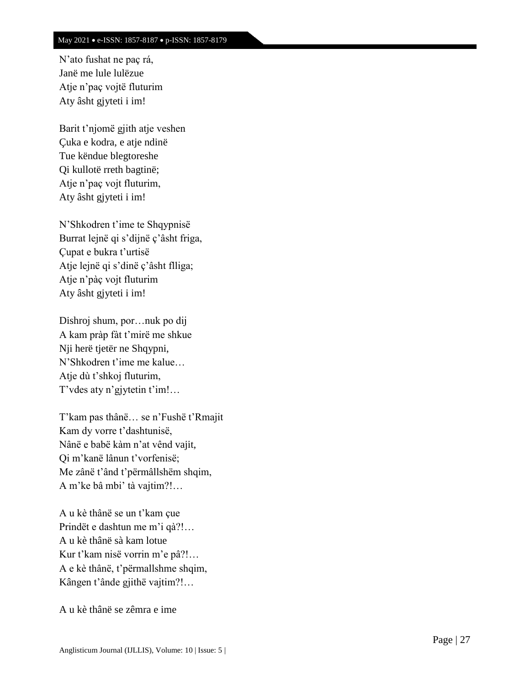N'ato fushat ne paç rá, Janë me lule lulëzue Atje n'paç vojtë fluturim Aty âsht gjyteti i im!

Barit t'njomë gjith atje veshen Çuka e kodra, e atje ndinë Tue këndue blegtoreshe Qi kullotë rreth bagtinë; Atje n'paç vojt fluturim, Aty âsht gjyteti i im!

N'Shkodren t'ime te Shqypnisë Burrat lejnë qi s'dijnë ç'âsht friga, Çupat e bukra t'urtisë Atje lejnë qi s'dinë ç'âsht flliga; Atje n'pàç vojt fluturim Aty âsht gjyteti i im!

Dishroj shum, por…nuk po dij A kam pràp fàt t'mirë me shkue Nji herë tjetër ne Shqypni, N'Shkodren t'ime me kalue… Atje dù t'shkoj fluturim, T'vdes aty n'gjytetin t'im!…

T'kam pas thânë… se n'Fushë t'Rmajit Kam dy vorre t'dashtunisë, Nânë e babë kàm n'at vênd vajit, Qi m'kanë lânun t'vorfenisë; Me zânë t'ând t'përmâllshëm shqim, A m'ke bâ mbi' tà vajtim?!…

A u kè thânë se un t'kam çue Prindët e dashtun me m'i qà?!… A u kè thânë sà kam lotue Kur t'kam nisë vorrin m'e pâ?!… A e kè thânë, t'përmallshme shqim, Kângen t'ânde gjithë vajtim?!…

A u kè thânë se zêmra e ime